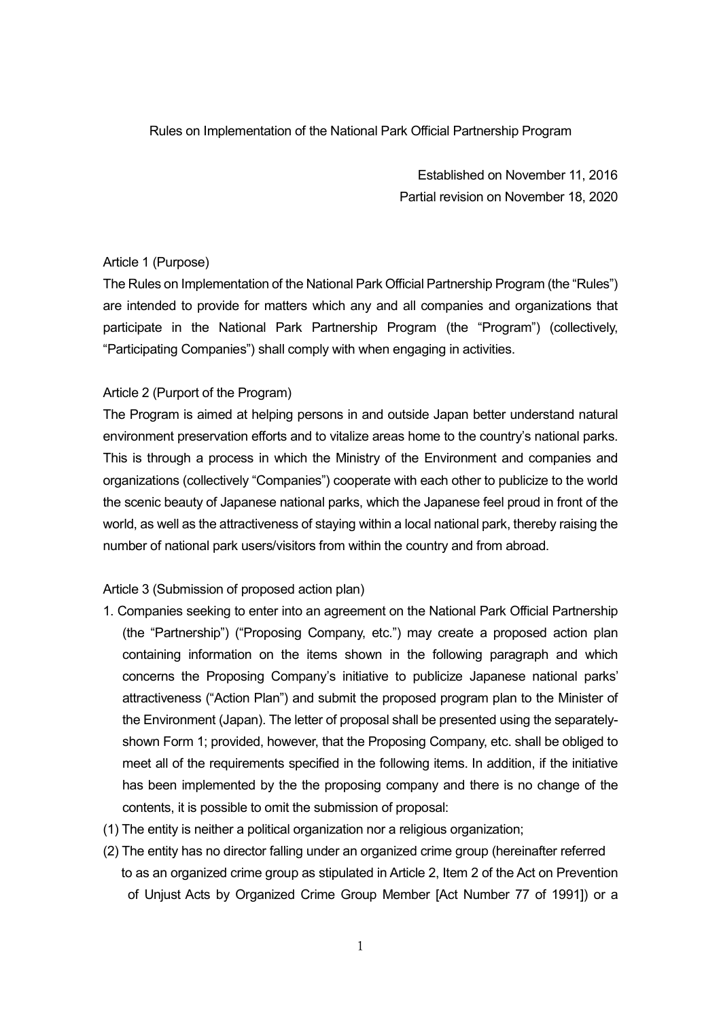#### Rules on Implementation of the National Park Official Partnership Program

Established on November 11, 2016 Partial revision on November 18, 2020

#### Article 1 (Purpose)

The Rules on Implementation of the National Park Official Partnership Program (the "Rules") are intended to provide for matters which any and all companies and organizations that participate in the National Park Partnership Program (the "Program") (collectively, "Participating Companies") shall comply with when engaging in activities.

#### Article 2 (Purport of the Program)

The Program is aimed at helping persons in and outside Japan better understand natural environment preservation efforts and to vitalize areas home to the country's national parks. This is through a process in which the Ministry of the Environment and companies and organizations (collectively "Companies") cooperate with each other to publicize to the world the scenic beauty of Japanese national parks, which the Japanese feel proud in front of the world, as well as the attractiveness of staying within a local national park, thereby raising the number of national park users/visitors from within the country and from abroad.

#### Article 3 (Submission of proposed action plan)

- 1. Companies seeking to enter into an agreement on the National Park Official Partnership (the "Partnership") ("Proposing Company, etc.") may create a proposed action plan containing information on the items shown in the following paragraph and which concerns the Proposing Company's initiative to publicize Japanese national parks' attractiveness ("Action Plan") and submit the proposed program plan to the Minister of the Environment (Japan). The letter of proposal shall be presented using the separatelyshown Form 1; provided, however, that the Proposing Company, etc. shall be obliged to meet all of the requirements specified in the following items. In addition, if the initiative has been implemented by the the proposing company and there is no change of the contents, it is possible to omit the submission of proposal:
- (1) The entity is neither a political organization nor a religious organization;
- (2) The entity has no director falling under an organized crime group (hereinafter referred to as an organized crime group as stipulated in Article 2, Item 2 of the Act on Prevention of Unjust Acts by Organized Crime Group Member [Act Number 77 of 1991]) or a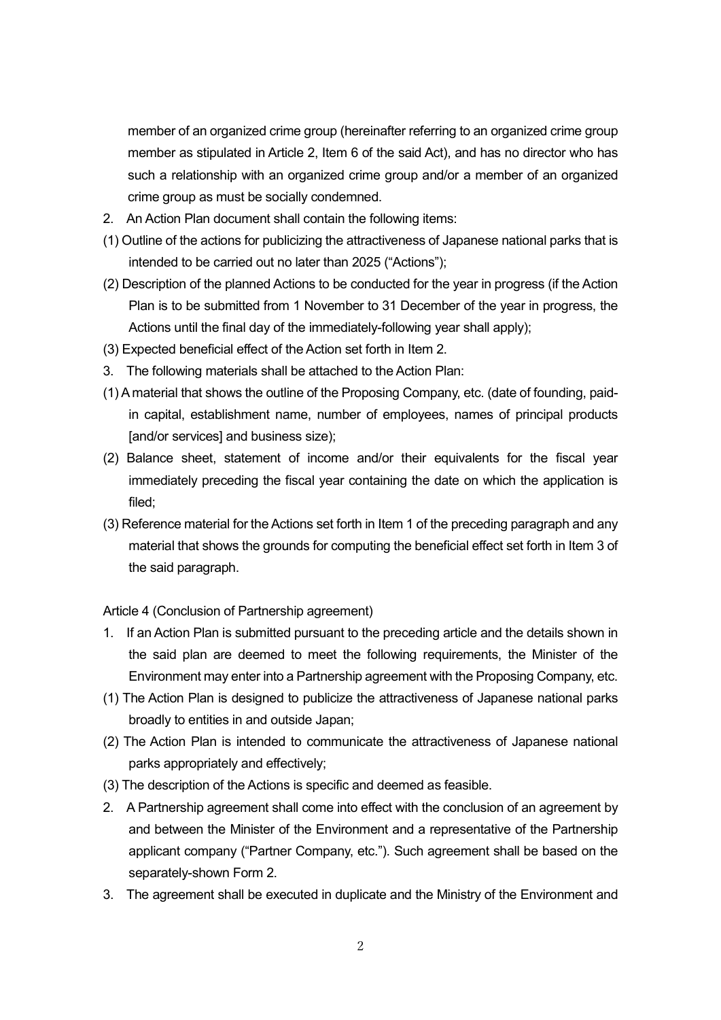member of an organized crime group (hereinafter referring to an organized crime group member as stipulated in Article 2, Item 6 of the said Act), and has no director who has such a relationship with an organized crime group and/or a member of an organized crime group as must be socially condemned.

- 2. An Action Plan document shall contain the following items:
- (1) Outline of the actions for publicizing the attractiveness of Japanese national parks that is intended to be carried out no later than 2025 ("Actions");
- (2) Description of the planned Actions to be conducted for the year in progress (if the Action Plan is to be submitted from 1 November to 31 December of the year in progress, the Actions until the final day of the immediately-following year shall apply);
- (3) Expected beneficial effect of the Action set forth in Item 2.
- 3. The following materials shall be attached to the Action Plan:
- (1) A material that shows the outline of the Proposing Company, etc. (date of founding, paidin capital, establishment name, number of employees, names of principal products [and/or services] and business size);
- (2) Balance sheet, statement of income and/or their equivalents for the fiscal year immediately preceding the fiscal year containing the date on which the application is filed;
- (3) Reference material for the Actions set forth in Item 1 of the preceding paragraph and any material that shows the grounds for computing the beneficial effect set forth in Item 3 of the said paragraph.

Article 4 (Conclusion of Partnership agreement)

- 1. If an Action Plan is submitted pursuant to the preceding article and the details shown in the said plan are deemed to meet the following requirements, the Minister of the Environment may enter into a Partnership agreement with the Proposing Company, etc.
- (1) The Action Plan is designed to publicize the attractiveness of Japanese national parks broadly to entities in and outside Japan;
- (2) The Action Plan is intended to communicate the attractiveness of Japanese national parks appropriately and effectively;
- (3) The description of the Actions is specific and deemed as feasible.
- 2. A Partnership agreement shall come into effect with the conclusion of an agreement by and between the Minister of the Environment and a representative of the Partnership applicant company ("Partner Company, etc."). Such agreement shall be based on the separately-shown Form 2.
- 3. The agreement shall be executed in duplicate and the Ministry of the Environment and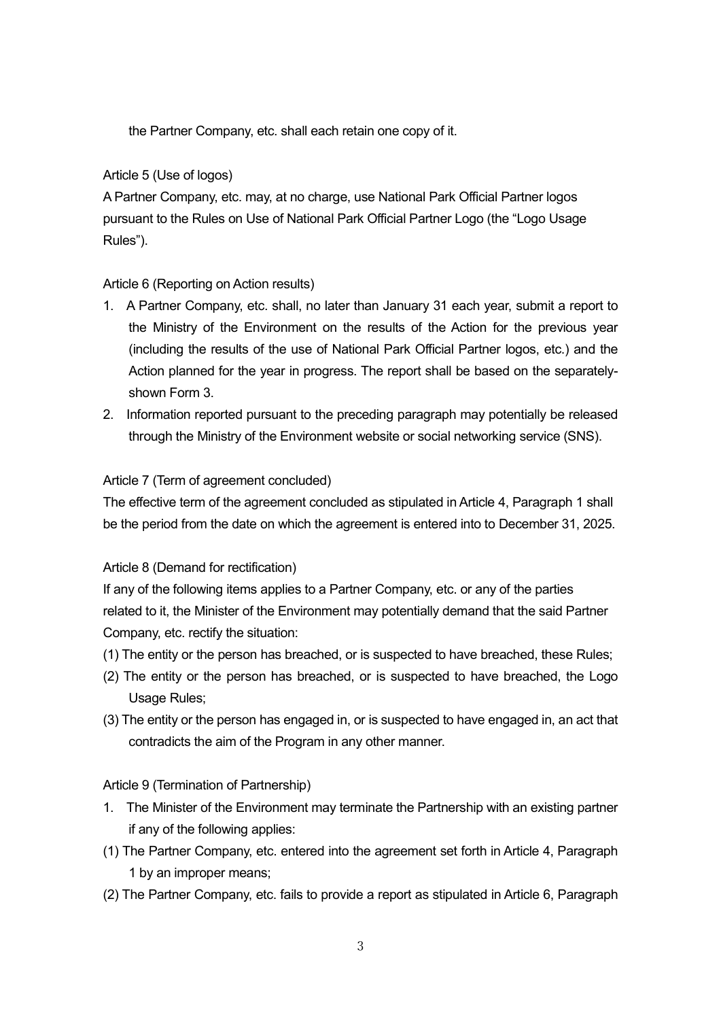the Partner Company, etc. shall each retain one copy of it.

### Article 5 (Use of logos)

A Partner Company, etc. may, at no charge, use National Park Official Partner logos pursuant to the Rules on Use of National Park Official Partner Logo (the "Logo Usage Rules").

### Article 6 (Reporting on Action results)

- 1. A Partner Company, etc. shall, no later than January 31 each year, submit a report to the Ministry of the Environment on the results of the Action for the previous year (including the results of the use of National Park Official Partner logos, etc.) and the Action planned for the year in progress. The report shall be based on the separatelyshown Form 3.
- 2. Information reported pursuant to the preceding paragraph may potentially be released through the Ministry of the Environment website or social networking service (SNS).

### Article 7 (Term of agreement concluded)

The effective term of the agreement concluded as stipulated in Article 4, Paragraph 1 shall be the period from the date on which the agreement is entered into to December 31, 2025.

## Article 8 (Demand for rectification)

If any of the following items applies to a Partner Company, etc. or any of the parties related to it, the Minister of the Environment may potentially demand that the said Partner Company, etc. rectify the situation:

- (1) The entity or the person has breached, or is suspected to have breached, these Rules;
- (2) The entity or the person has breached, or is suspected to have breached, the Logo Usage Rules;
- (3) The entity or the person has engaged in, or is suspected to have engaged in, an act that contradicts the aim of the Program in any other manner.

### Article 9 (Termination of Partnership)

- 1. The Minister of the Environment may terminate the Partnership with an existing partner if any of the following applies:
- (1) The Partner Company, etc. entered into the agreement set forth in Article 4, Paragraph 1 by an improper means;
- (2) The Partner Company, etc. fails to provide a report as stipulated in Article 6, Paragraph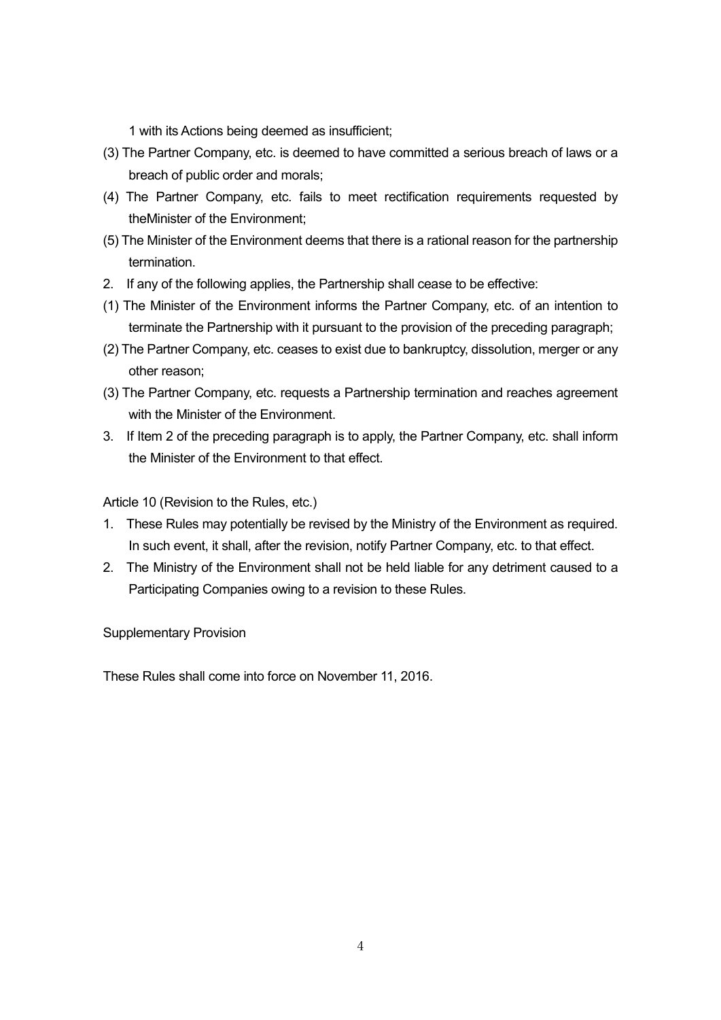1 with its Actions being deemed as insufficient;

- (3) The Partner Company, etc. is deemed to have committed a serious breach of laws or a breach of public order and morals;
- (4) The Partner Company, etc. fails to meet rectification requirements requested by theMinister of the Environment;
- (5) The Minister of the Environment deems that there is a rational reason for the partnership termination.
- 2. If any of the following applies, the Partnership shall cease to be effective:
- (1) The Minister of the Environment informs the Partner Company, etc. of an intention to terminate the Partnership with it pursuant to the provision of the preceding paragraph;
- (2) The Partner Company, etc. ceases to exist due to bankruptcy, dissolution, merger or any other reason;
- (3) The Partner Company, etc. requests a Partnership termination and reaches agreement with the Minister of the Environment.
- 3. If Item 2 of the preceding paragraph is to apply, the Partner Company, etc. shall inform the Minister of the Environment to that effect.

Article 10 (Revision to the Rules, etc.)

- 1. These Rules may potentially be revised by the Ministry of the Environment as required. In such event, it shall, after the revision, notify Partner Company, etc. to that effect.
- 2. The Ministry of the Environment shall not be held liable for any detriment caused to a Participating Companies owing to a revision to these Rules.

Supplementary Provision

These Rules shall come into force on November 11, 2016.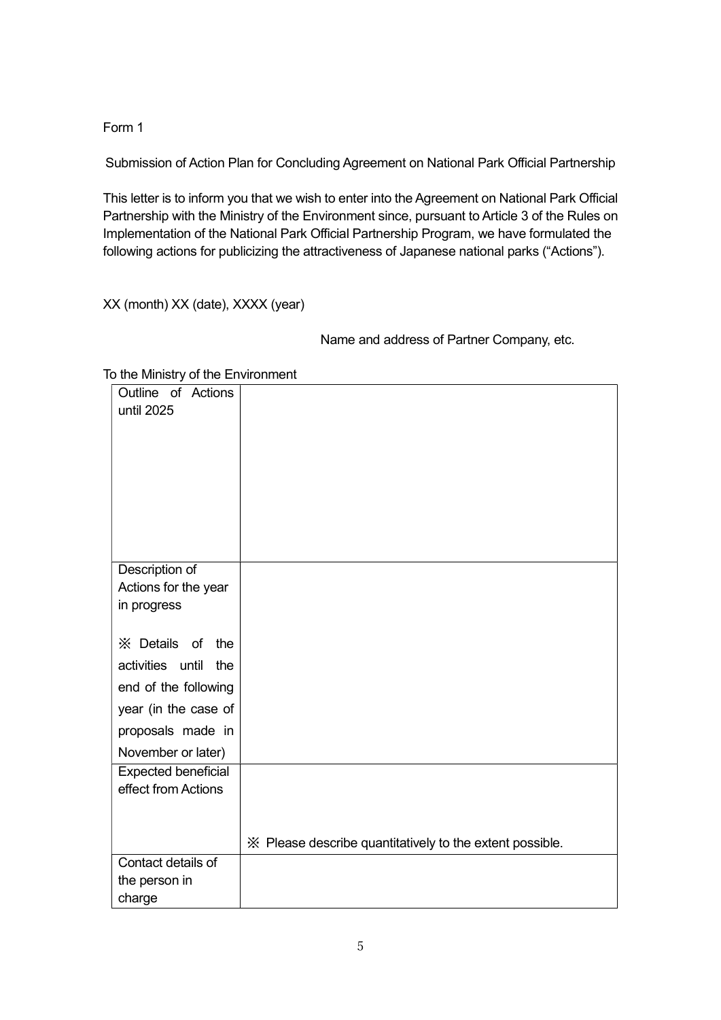Form 1

Submission of Action Plan for Concluding Agreement on National Park Official Partnership

This letter is to inform you that we wish to enter into the Agreement on National Park Official Partnership with the Ministry of the Environment since, pursuant to Article 3 of the Rules on Implementation of the National Park Official Partnership Program, we have formulated the following actions for publicizing the attractiveness of Japanese national parks ("Actions").

XX (month) XX (date), XXXX (year)

Name and address of Partner Company, etc.

| Outline of Actions                  |                                                          |
|-------------------------------------|----------------------------------------------------------|
| until 2025                          |                                                          |
|                                     |                                                          |
|                                     |                                                          |
|                                     |                                                          |
|                                     |                                                          |
|                                     |                                                          |
|                                     |                                                          |
|                                     |                                                          |
| Description of                      |                                                          |
| Actions for the year<br>in progress |                                                          |
|                                     |                                                          |
| X Details of<br>the                 |                                                          |
| activities until<br>the             |                                                          |
| end of the following                |                                                          |
| year (in the case of                |                                                          |
| proposals made in                   |                                                          |
| November or later)                  |                                                          |
| <b>Expected beneficial</b>          |                                                          |
| effect from Actions                 |                                                          |
|                                     |                                                          |
|                                     |                                                          |
|                                     | X Please describe quantitatively to the extent possible. |
| Contact details of                  |                                                          |
| the person in                       |                                                          |
| charge                              |                                                          |

#### To the Ministry of the Environment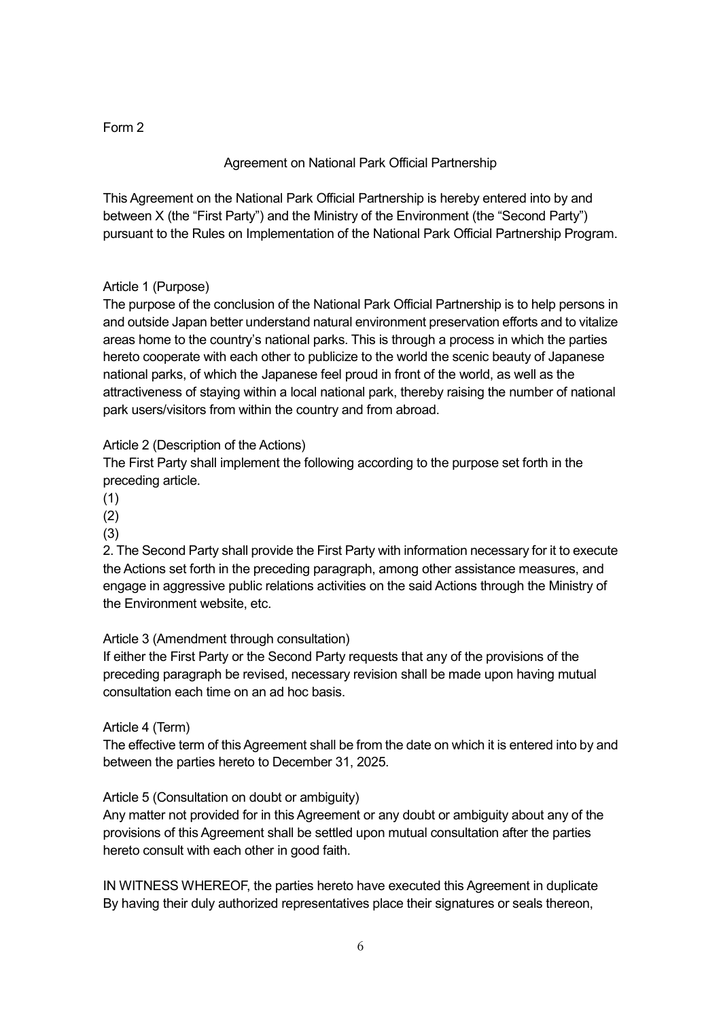# Form 2

# Agreement on National Park Official Partnership

This Agreement on the National Park Official Partnership is hereby entered into by and between X (the "First Party") and the Ministry of the Environment (the "Second Party") pursuant to the Rules on Implementation of the National Park Official Partnership Program.

## Article 1 (Purpose)

The purpose of the conclusion of the National Park Official Partnership is to help persons in and outside Japan better understand natural environment preservation efforts and to vitalize areas home to the country's national parks. This is through a process in which the parties hereto cooperate with each other to publicize to the world the scenic beauty of Japanese national parks, of which the Japanese feel proud in front of the world, as well as the attractiveness of staying within a local national park, thereby raising the number of national park users/visitors from within the country and from abroad.

# Article 2 (Description of the Actions)

The First Party shall implement the following according to the purpose set forth in the preceding article.

- (1)
- (2)
- (3)

2. The Second Party shall provide the First Party with information necessary for it to execute the Actions set forth in the preceding paragraph, among other assistance measures, and engage in aggressive public relations activities on the said Actions through the Ministry of the Environment website, etc.

## Article 3 (Amendment through consultation)

If either the First Party or the Second Party requests that any of the provisions of the preceding paragraph be revised, necessary revision shall be made upon having mutual consultation each time on an ad hoc basis.

## Article 4 (Term)

The effective term of this Agreement shall be from the date on which it is entered into by and between the parties hereto to December 31, 2025.

## Article 5 (Consultation on doubt or ambiguity)

Any matter not provided for in this Agreement or any doubt or ambiguity about any of the provisions of this Agreement shall be settled upon mutual consultation after the parties hereto consult with each other in good faith.

IN WITNESS WHEREOF, the parties hereto have executed this Agreement in duplicate By having their duly authorized representatives place their signatures or seals thereon,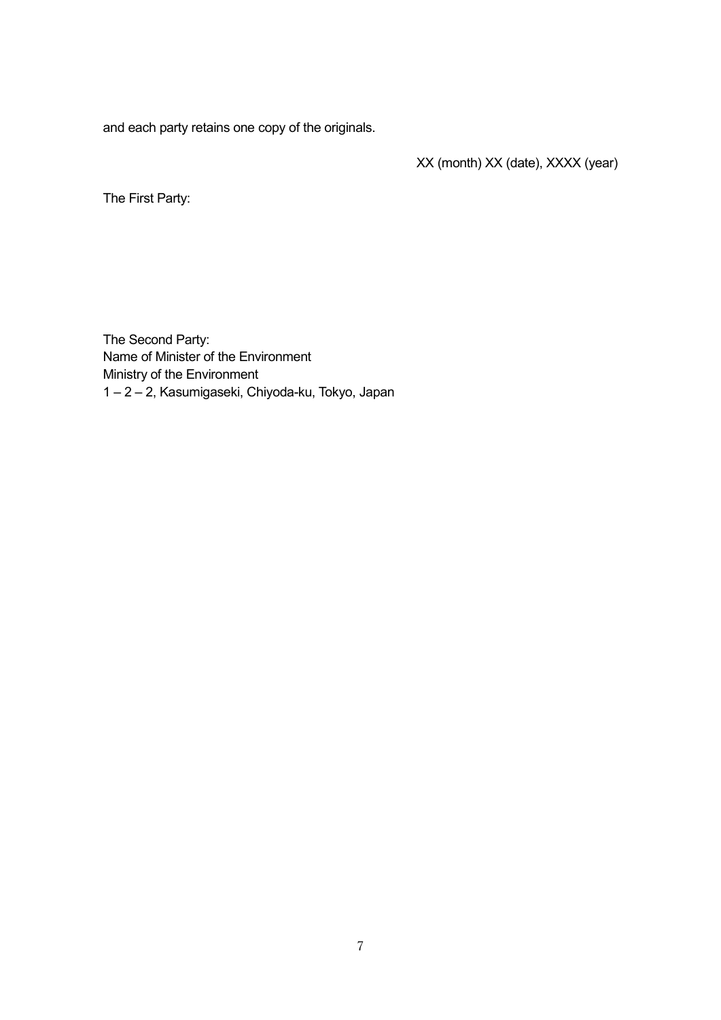and each party retains one copy of the originals.

XX (month) XX (date), XXXX (year)

The First Party:

The Second Party: Name of Minister of the Environment Ministry of the Environment 1 – 2 – 2, Kasumigaseki, Chiyoda-ku, Tokyo, Japan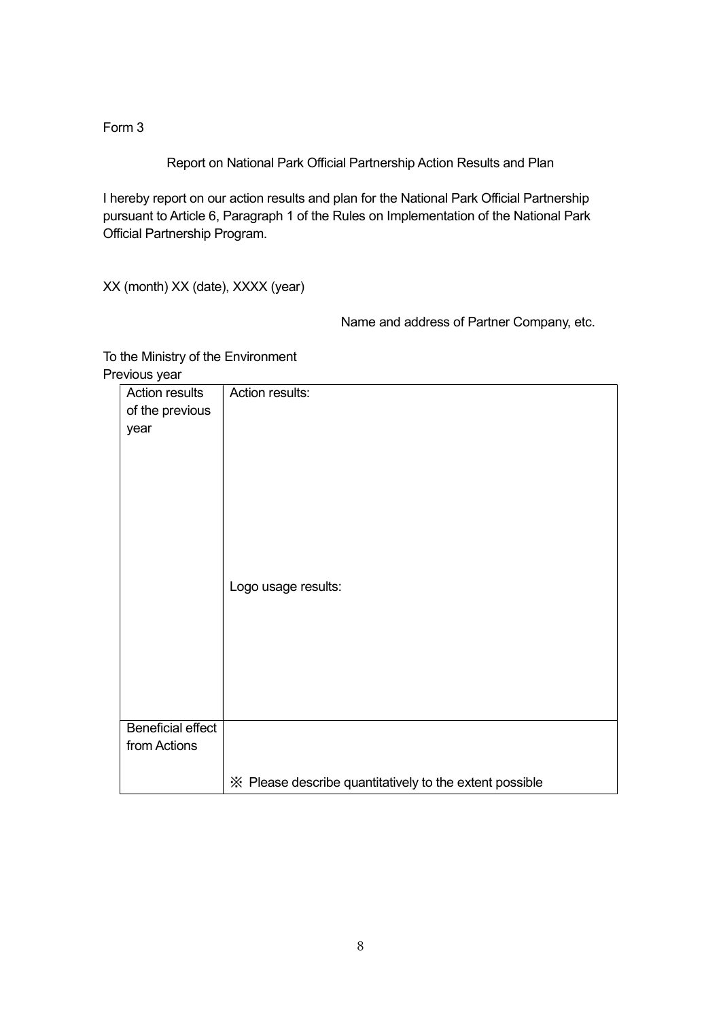Form 3

Report on National Park Official Partnership Action Results and Plan

I hereby report on our action results and plan for the National Park Official Partnership pursuant to Article 6, Paragraph 1 of the Rules on Implementation of the National Park Official Partnership Program.

XX (month) XX (date), XXXX (year)

Name and address of Partner Company, etc.

To the Ministry of the Environment Previous year

| . <i>.</i> .<br><b>Action results</b><br>of the previous<br>year | Action results:<br>Logo usage results:                  |
|------------------------------------------------------------------|---------------------------------------------------------|
|                                                                  |                                                         |
| <b>Beneficial effect</b>                                         |                                                         |
| from Actions                                                     |                                                         |
|                                                                  |                                                         |
|                                                                  | ※ Please describe quantitatively to the extent possible |